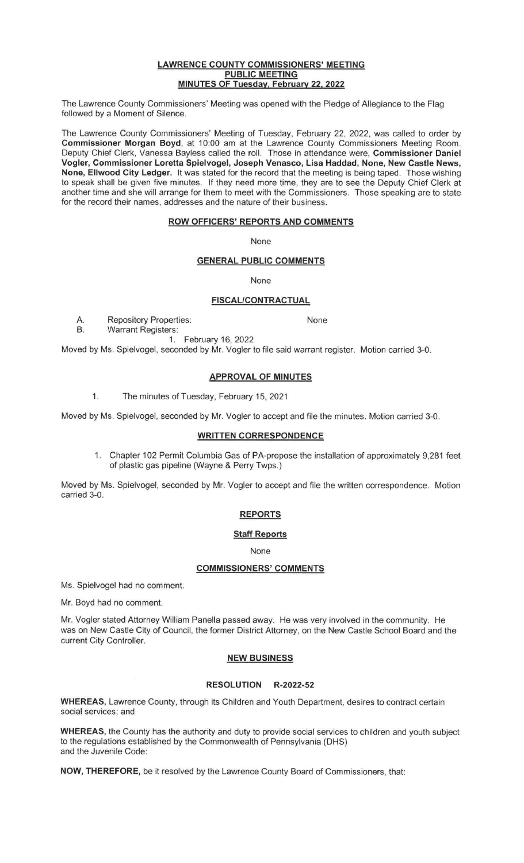#### **LAWRENCE COUNTY COMMISSIONERS' MEETING PUBLIC MEETING MINUTES OF Tuesday, February 22, 2022**

The Lawrence County Commissioners' Meeting was opened with the Pledge of Allegiance to the Flag followed by a Moment of Silence.

The Lawrence County Commissioners' Meeting of Tuesday, February 22, 2022, was called to order by **Commissioner Morgan Boyd,** at 10:00 am at the Lawrence County Commissioners Meeting Room. Deputy Chief Clerk, Vanessa Bayless called the roll. Those in attendance were, **Commissioner Daniel Vogler, Commissioner Loretta Spielvogel, Joseph Venasco, Lisa Haddad, None, New Castle News, None, Ellwood City Ledger.** It was stated for the record that the meeting is being taped. Those wishing to speak shall be given five minutes. If they need more time, they are to see the Deputy Chief Clerk at another time and she will arrange for them to meet with the Commissioners. Those speaking are to state for the record their names, addresses and the nature of their business.

## **ROW OFFICERS' REPORTS AND COMMENTS**

None

## **GENERAL PUBLIC COMMENTS**

None

#### **FISCAL/CONTRACTUAL**

A. Repository Properties: None<br>B. Warrant Registers:

Warrant Registers:

1. February 16, 2022 Moved by Ms. Spielvogel, seconded by Mr. Vogler to file said warrant register. Motion carried 3-0.

# **APPROVAL OF MINUTES**

1. The minutes of Tuesday, February 15, 2021

Moved by Ms. Spielvogel, seconded by Mr. Vogler to accept and file the minutes. Motion carried 3-0.

# **WRITTEN CORRESPONDENCE**

1. Chapter 102 Permit Columbia Gas of PA-propose the installation of approximately 9,281 feet of plastic gas pipeline (Wayne & Perry Twps.)

Moved by Ms. Spielvogel, seconded by Mr. Vogler to accept and file the written correspondence. Motion carried 3-0.

# **REPORTS**

#### **Staff Reports**

None

## **COMMISSIONERS' COMMENTS**

Ms. Spielvogel had no comment.

Mr. Boyd had no comment.

Mr. Vogler stated Attorney William Panella passed away. He was very involved in the community. He was on New Castle City of Council, the former District Attorney, on the New Castle School Board and the current City Controller.

# **NEW BUSINESS**

#### **RESOLUTION R-2022-52**

**WHEREAS,** Lawrence County, through its Children and Youth Department, desires to contract certain social services; and

**WHEREAS,** the County has the authority and duty to provide social services to children and youth subject to the regulations established by the Commonwealth of Pennsylvania (OHS) and the Juvenile Code:

**NOW, THEREFORE,** be it resolved by the Lawrence County Board of Commissioners, that: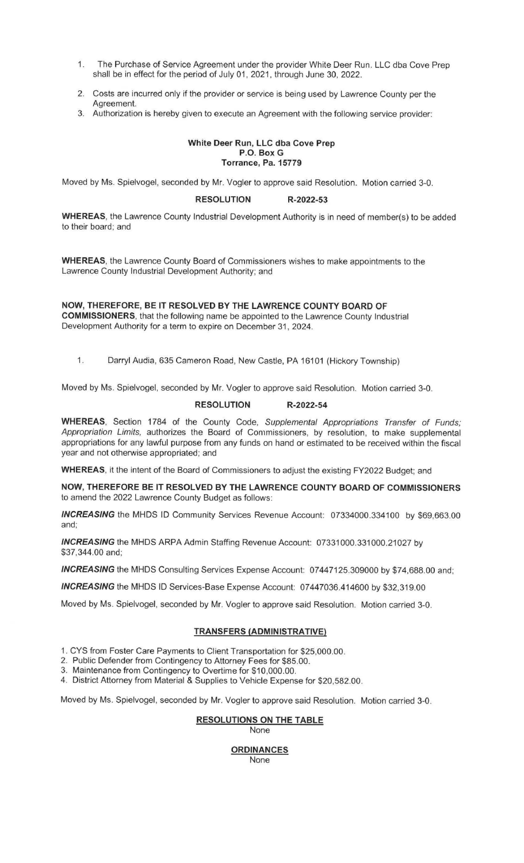- 1. The Purchase of Service Agreement under the provider White Deer Run. LLC dba Cove Prep shall be in effect for the period of July 01, 2021, through June 30, 2022.
- 2. Costs are incurred only if the provider or service is being used by Lawrence County per the Agreement.
- 3. Authorization is hereby given to execute an Agreement with the following service provider:

#### **White Deer Run, LLC dba Cove Prep P.O. Box G Torrance, Pa. 15779**

Moved by Ms. Spielvogel, seconded by Mr. Vogler to approve said Resolution. Motion carried 3-0.

# **RESOLUTION R-2022-53**

**WHEREAS,** the Lawrence County Industrial Development Authority is in need of member(s) to be added to their board; and

**WHEREAS,** the Lawrence County Board of Commissioners wishes to make appointments to the Lawrence County Industrial Development Authority; and

**NOW, THEREFORE, BE IT RESOLVED BY THE LAWRENCE COUNTY BOARD OF COMMISSIONERS,** that the following name be appointed to the Lawrence County Industrial Development Authority for a term to expire on December 31, 2024.

1. Darryl Audia, 635 Cameron Road, New Castle, PA 16101 (Hickory Township)

Moved by Ms. Spielvogel, seconded by Mr. Vogler to approve said Resolution. Motion carried 3-0.

## **RESOLUTION R-2022-54**

**WHEREAS,** Section 1784 of the County Code, Supplemental Appropriations Transfer of Funds; Appropriation Limits, authorizes the Board of Commissioners, by resolution, to make supplemental appropriations for any lawful purpose from any funds on hand or estimated to be received within the fiscal year and not otherwise appropriated; and

**WHEREAS,** it the intent of the Board of Commissioners to adjust the existing FY2022 Budget; and

**NOW, THEREFORE BE IT RESOLVED BY THE LAWRENCE COUNTY BOARD OF COMMISSIONERS**  to amend the 2022 Lawrence County Budget as follows:

**INCREASING** the MHDS ID Community Services Revenue Account: 07334000.334100 by \$69,663.00 and;

**INCREASING** the MHDS ARPA Admin Staffing Revenue Account: 07331000.331000.21027 by \$37,344.00 and;

**INCREASING** the MHDS Consulting Services Expense Account: 07447125.309000 by \$74,688.00 and;

**INCREASING** the MHDS ID Services-Base Expense Account: 07447036.414600 by \$32,319.00

Moved by Ms. Spielvogel, seconded by Mr. Vogler to approve said Resolution. Motion carried 3-0.

# **TRANSFERS (ADMINISTRATIVE)**

1. CYS from Foster Care Payments to Client Transportation for \$25,000.00.

2. Public Defender from Contingency to Attorney Fees for \$85.00.

3. Maintenance from Contingency to Overtime for \$10,000.00.

4. District Attorney from Material & Supplies to Vehicle Expense for \$20,582.00.

Moved by Ms. Spielvogel, seconded by Mr. Vogler to approve said Resolution. Motion carried 3-0.

# **RESOLUTIONS ON THE TABLE**

None

## **ORDINANCES** None